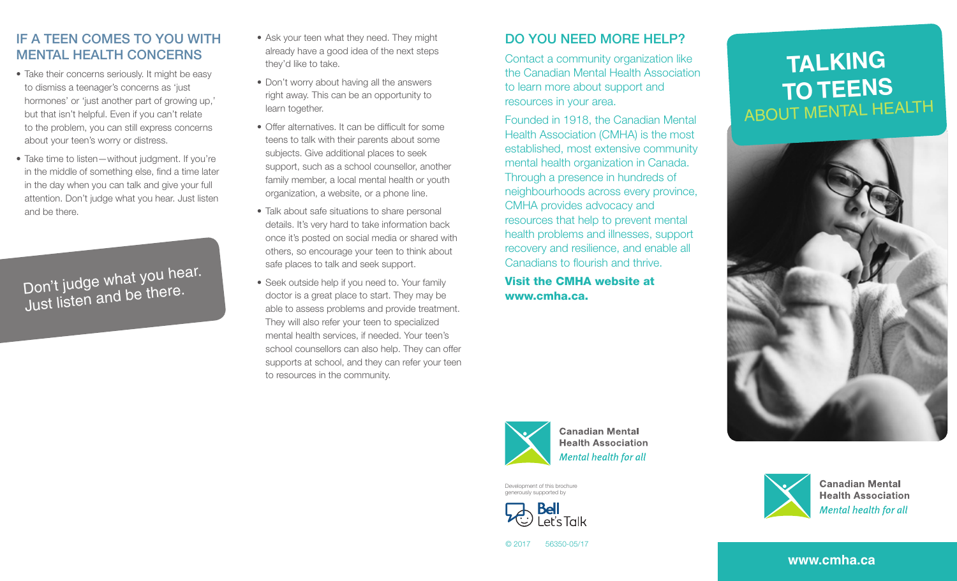## IF A TEEN COMES TO YOU WITH MENTAL HEALTH CONCERNS

- Take their concerns seriously. It might be easy to dismiss a teenager's concerns as 'just hormones' or 'just another part of growing up,' but that isn't helpful. Even if you can't relate to the problem, you can still express concerns about your teen's worry or distress.
- Take time to listen—without judgment. If you're in the middle of something else, find a time later in the day when you can talk and give your full attention. Don't judge what you hear. Just listen and be there.

Variation is to flourish and thrive<br>
Don't judge what you hear.<br>
Seek outside help if you need to. Your family<br>
doctor is a great place to start. They may be **WWW.cmha.ca.** Just listen and be there.

- Ask your teen what they need. They might already have a good idea of the next steps they'd like to take.
- Don't worry about having all the answers right away. This can be an opportunity to learn together.
- Offer alternatives. It can be difficult for some teens to talk with their parents about some subjects. Give additional places to seek support, such as a school counsellor, another family member, a local mental health or youth organization, a website, or a phone line.
- Talk about safe situations to share personal details. It's very hard to take information back once it's posted on social media or shared with others, so encourage your teen to think about safe places to talk and seek support.
- Seek outside help if you need to. Your family doctor is a great place to start. They may be able to assess problems and provide treatment. They will also refer your teen to specialized mental health services, if needed. Your teen's school counsellors can also help. They can offer supports at school, and they can refer your teen to resources in the community.

# DO YOU NEED MORE HELP?

Contact a community organization like the Canadian Mental Health Association to learn more about support and resources in your area.

Founded in 1918, the Canadian Mental Health Association (CMHA) is the most established, most extensive community mental health organization in Canada. Through a presence in hundreds of neighbourhoods across every province, CMHA provides advocacy and resources that help to prevent mental health problems and illnesses, support recovery and resilience, and enable all Canadians to flourish and thrive.

# **TALKING TO TEENS** ABOUT MENTAL HEALTH





**Canadian Mental Health Association Mental health for all** 

Development of this brochure generously supported by





**Canadian Mental Health Association** Mental health for all

```
© 2017 56350-05/17
```